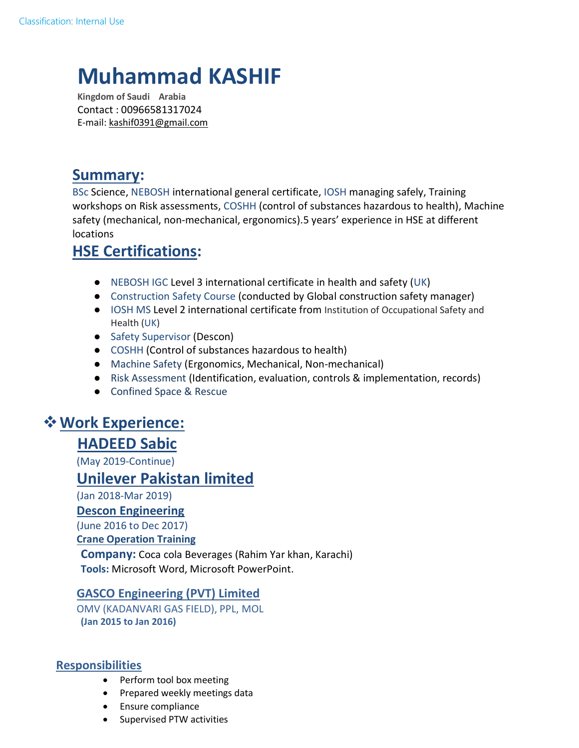# **Muhammad KASHIF**

**Kingdom of Saudi Arabia**  Contact : 00966581317024 E-mail: kashif0391@gmail.com

# **Summary:**

BSc Science, NEBOSH international general certificate, IOSH managing safely, Training workshops on Risk assessments, COSHH (control of substances hazardous to health), Machine safety (mechanical, non-mechanical, ergonomics).5 years' experience in HSE at different locations

## **HSE Certifications:**

- NEBOSH IGC Level 3 international certificate in health and safety (UK)
- Construction Safety Course (conducted by Global construction safety manager)
- IOSH MS Level 2 international certificate from Institution of Occupational Safety and Health (UK)
- Safety Supervisor (Descon)
- COSHH (Control of substances hazardous to health)
- Machine Safety (Ergonomics, Mechanical, Non-mechanical)
- Risk Assessment (Identification, evaluation, controls & implementation, records)
- Confined Space & Rescue

# **Work Experience:**

## **HADEED Sabic**

(May 2019-Continue)

## **Unilever Pakistan limited**

(Jan 2018-Mar 2019)

**Descon Engineering** 

(June 2016 to Dec 2017)

**Crane Operation Training** 

**Company:** Coca cola Beverages (Rahim Yar khan, Karachi) **Tools:** Microsoft Word, Microsoft PowerPoint.

#### **GASCO Engineering (PVT) Limited**

OMV (KADANVARI GAS FIELD), PPL, MOL **(Jan 2015 to Jan 2016)** 

#### **Responsibilities**

- Perform tool box meeting
- Prepared weekly meetings data
- **•** Ensure compliance
- Supervised PTW activities